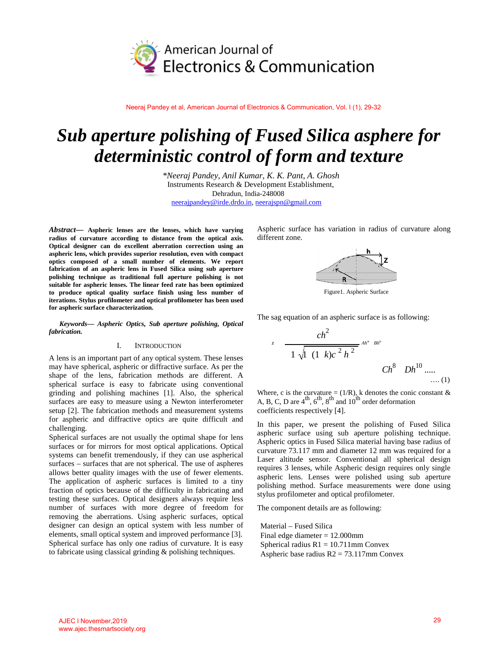

Neeraj Pandey et al, American Journal of Electronics & Communication, Vol. I (1), 29-32

# *Sub aperture polishing of Fused Silica asphere for deterministic control of form and texture*

*\*Neeraj Pandey, Anil Kumar, K. K. Pant, A. Ghosh* Instruments Research & Development Establishment, Dehradun, India-248008 neerajpandey@irde.drdo.in, neerajspn@gmail.com

*Abstract—* **Aspheric lenses are the lenses, which have varying radius of curvature according to distance from the optical axis. Optical designer can do excellent aberration correction using an aspheric lens, which provides superior resolution, even with compact optics composed of a small number of elements. We report fabrication of an aspheric lens in Fused Silica using sub aperture polishing technique as traditional full aperture polishing is not suitable for aspheric lenses. The linear feed rate has been optimized to produce optical quality surface finish using less number of iterations. Stylus profilometer and optical profilometer has been used for aspheric surface characterization.**

*Keywords— Aspheric Optics, Sub aperture polishing, Optical fabrication.*

### I. INTRODUCTION

A lens is an important part of any optical system. These lenses may have spherical, aspheric or diffractive surface. As per the shape of the lens, fabrication methods are different. A spherical surface is easy to fabricate using conventional grinding and polishing machines [1]. Also, the spherical surfaces are easy to measure using a Newton interferometer setup [2]. The fabrication methods and measurement systems for aspheric and diffractive optics are quite difficult and challenging.

Spherical surfaces are not usually the optimal shape for lens surfaces or for mirrors for most optical applications. Optical systems can benefit tremendously, if they can use aspherical surfaces – surfaces that are not spherical. The use of aspheres allows better quality images with the use of fewer elements. The application of aspheric surfaces is limited to a tiny fraction of optics because of the difficulty in fabricating and testing these surfaces. Optical designers always require less number of surfaces with more degree of freedom for removing the aberrations. Using aspheric surfaces, optical designer can design an optical system with less number of elements, small optical system and improved performance [3]. Spherical surface has only one radius of curvature. It is easy to fabricate using classical grinding & polishing techniques.

Aspheric surface has variation in radius of curvature along different zone.



Figure1. Aspheric Surface

The sag equation of an aspheric surface is as following:

$$
c \frac{ch^2}{1\sqrt{1(1 k)c^2 h^2}} \, {}^{At^* Bh^o} \, C h^8 \quad Dh^{10} \dots \dots (1)
$$

Where, c is the curvature = (1/R), k denotes the conic constant & A, B, C, D are  $4^{\text{th}}$ ,  $6^{\text{th}}$ ,  $8^{\text{th}}$  and  $10^{\text{th}}$  order deformation coefficients respectively [4].

In this paper, we present the polishing of Fused Silica aspheric surface using sub aperture polishing technique. Aspheric optics in Fused Silica material having base radius of curvature 73.117 mm and diameter 12 mm was required for a Laser altitude sensor. Conventional all spherical design requires 3 lenses, while Aspheric design requires only single aspheric lens. Lenses were polished using sub aperture polishing method. Surface measurements were done using stylus profilometer and optical profilometer.

The component details are as following:

Material – Fused Silica Final edge diameter = 12.000mm Spherical radius  $R1 = 10.711$ mm Convex Aspheric base radius R2 = 73.117mm Convex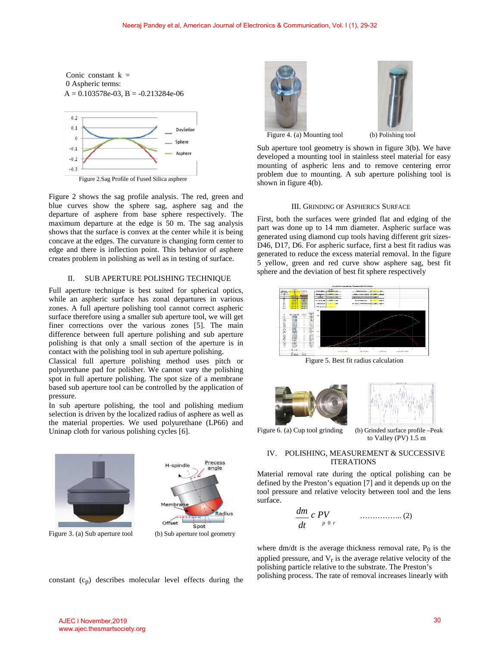



Figure 2.Sag Profile of Fused Silica asphere

Figure 2 shows the sag profile analysis. The red, green and blue curves show the sphere sag, asphere sag and the departure of asphere from base sphere respectively. The maximum departure at the edge is 50 m. The sag analysis shows that the surface is convex at the center while it is being concave at the edges. The curvature is changing form center to edge and there is inflection point. This behavior of asphere creates problem in polishing as well as in testing of surface.

# II. SUB APERTURE POLISHING TECHNIQUE

Full aperture technique is best suited for spherical optics, while an aspheric surface has zonal departures in various zones. A full aperture polishing tool cannot correct aspheric surface therefore using a smaller sub aperture tool, we will get finer corrections over the various zones [5]. The main difference between full aperture polishing and sub aperture polishing is that only a small section of the aperture is in contact with the polishing tool in sub aperture polishing.

Classical full aperture polishing method uses pitch or polyurethane pad for polisher. We cannot vary the polishing spot in full aperture polishing. The spot size of a membrane based sub aperture tool can be controlled by the application of pressure.

In sub aperture polishing, the tool and polishing medium selection is driven by the localized radius of asphere as well as the material properties. We used polyurethane (LP66) and Uninap cloth for various polishing cycles [6].



Figure 3. (a) Sub aperture tool (b) Sub aperture tool geometry



Precess

angle





Figure 4. (a) Mounting tool (b) Polishing tool

Sub aperture tool geometry is shown in figure 3(b). We have developed a mounting tool in stainless steel material for easy mounting of aspheric lens and to remove centering error problem due to mounting. A sub aperture polishing tool is shown in figure 4(b).

#### III. GRINDING OF ASPHERICS SURFACE

First, both the surfaces were grinded flat and edging of the part was done up to 14 mm diameter. Aspheric surface was generated using diamond cup tools having different grit sizes-D46, D17, D6. For aspheric surface, first a best fit radius was generated to reduce the excess material removal. In the figure 5 yellow, green and red curve show asphere sag, best fit sphere and the deviation of best fit sphere respectively



Figure 5. Best fit radius calculation





Figure 6. (a) Cup tool grinding (b) Grinded surface profile –Peak

to Valley (PV) 1.5 m

# IV. POLISHING, MEASUREMENT & SUCCESSIVE **ITERATIONS**

Material removal rate during the optical polishing can be defined by the Preston's equation [7] and it depends up on the tool pressure and relative velocity between tool and the lens surface.

*dm c PV* …………….. (2) *dt <sup>p</sup>*0*<sup>r</sup>*

where  $dm/dt$  is the average thickness removal rate,  $P_0$  is the applied pressure, and  $V_r$  is the average relative velocity of the polishing particle relative to the substrate. The Preston's constant  $(c_p)$  describes molecular level effects during the polishing process. The rate of removal increases linearly with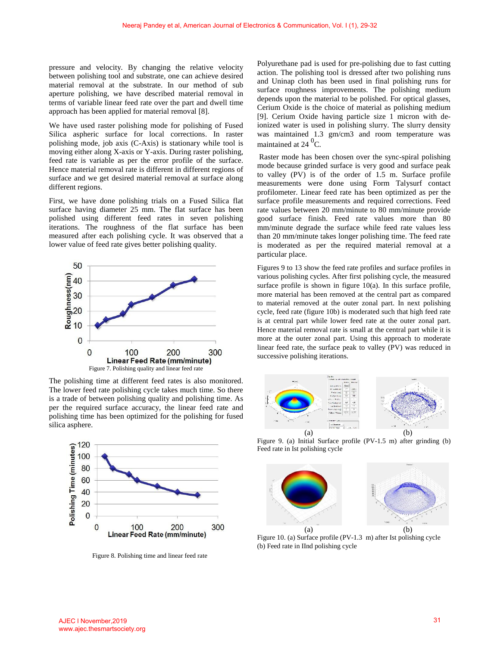pressure and velocity. By changing the relative velocity between polishing tool and substrate, one can achieve desired material removal at the substrate. In our method of sub aperture polishing, we have described material removal in terms of variable linear feed rate over the part and dwell time approach has been applied for material removal [8].

We have used raster polishing mode for polishing of Fused Silica aspheric surface for local corrections. In raster polishing mode, job axis (C-Axis) is stationary while tool is moving either along X-axis or Y-axis. During raster polishing, feed rate is variable as per the error profile of the surface. Hence material removal rate is different in different regions of surface and we get desired material removal at surface along different regions.

First, we have done polishing trials on a Fused Silica flat surface having diameter 25 mm. The flat surface has been polished using different feed rates in seven polishing iterations. The roughness of the flat surface has been measured after each polishing cycle. It was observed that a lower value of feed rate gives better polishing quality.



The polishing time at different feed rates is also monitored. The lower feed rate polishing cycle takes much time. So there is a trade of between polishing quality and polishing time. As per the required surface accuracy, the linear feed rate and polishing time has been optimized for the polishing for fused silica asphere.



Figure 8. Polishing time and linear feed rate

Polyurethane pad is used for pre-polishing due to fast cutting action. The polishing tool is dressed after two polishing runs and Uninap cloth has been used in final polishing runs for surface roughness improvements. The polishing medium depends upon the material to be polished. For optical glasses, Cerium Oxide is the choice of material as polishing medium [9]. Cerium Oxide having particle size 1 micron with deionized water is used in polishing slurry. The slurry density was maintained 1.3 gm/cm3 and room temperature was maintained at 24  $^{0}$ C.

Raster mode has been chosen over the sync-spiral polishing mode because grinded surface is very good and surface peak to valley (PV) is of the order of 1.5 m. Surface profile measurements were done using Form Talysurf contact profilometer. Linear feed rate has been optimized as per the surface profile measurements and required corrections. Feed rate values between 20 mm/minute to 80 mm/minute provide good surface finish. Feed rate values more than 80 mm/minute degrade the surface while feed rate values less than 20 mm/minute takes longer polishing time. The feed rate is moderated as per the required material removal at a particular place.

Figures 9 to 13 show the feed rate profiles and surface profiles in various polishing cycles. After first polishing cycle, the measured surface profile is shown in figure 10(a). In this surface profile, more material has been removed at the central part as compared to material removed at the outer zonal part. In next polishing cycle, feed rate (figure 10b) is moderated such that high feed rate is at central part while lower feed rate at the outer zonal part. Hence material removal rate is small at the central part while it is more at the outer zonal part. Using this approach to moderate linear feed rate, the surface peak to valley (PV) was reduced in successive polishing iterations.



Figure 9. (a) Initial Surface profile (PV-1.5 m) after grinding (b) Feed rate in Ist polishing cycle



Figure 10. (a) Surface profile (PV-1.3 m) after Ist polishing cycle (b) Feed rate in IInd polishing cycle